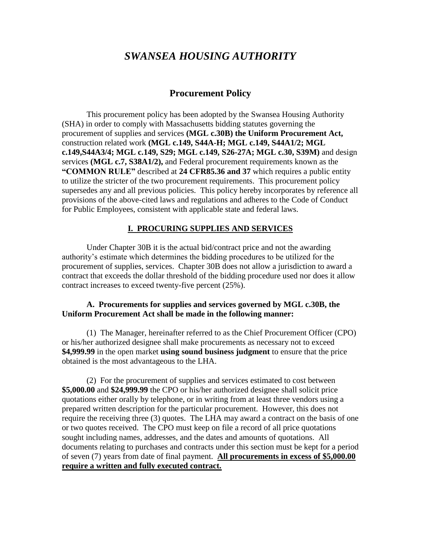# *SWANSEA HOUSING AUTHORITY*

# **Procurement Policy**

This procurement policy has been adopted by the Swansea Housing Authority (SHA) in order to comply with Massachusetts bidding statutes governing the procurement of supplies and services **(MGL c.30B) the Uniform Procurement Act,** construction related work **(MGL c.149, S44A-H; MGL c.149, S44A1/2; MGL c.149,S44A3/4; MGL c.149, S29; MGL c.149, S26-27A; MGL c.30, S39M)** and design services **(MGL c.7, S38A1/2),** and Federal procurement requirements known as the **"COMMON RULE"** described at **24 CFR85.36 and 37** which requires a public entity to utilize the stricter of the two procurement requirements. This procurement policy supersedes any and all previous policies. This policy hereby incorporates by reference all provisions of the above-cited laws and regulations and adheres to the Code of Conduct for Public Employees, consistent with applicable state and federal laws.

#### **I. PROCURING SUPPLIES AND SERVICES**

Under Chapter 30B it is the actual bid/contract price and not the awarding authority's estimate which determines the bidding procedures to be utilized for the procurement of supplies, services. Chapter 30B does not allow a jurisdiction to award a contract that exceeds the dollar threshold of the bidding procedure used nor does it allow contract increases to exceed twenty-five percent (25%).

#### **A. Procurements for supplies and services governed by MGL c.30B, the Uniform Procurement Act shall be made in the following manner:**

(1) The Manager, hereinafter referred to as the Chief Procurement Officer (CPO) or his/her authorized designee shall make procurements as necessary not to exceed **\$4,999.99** in the open market **using sound business judgment** to ensure that the price obtained is the most advantageous to the LHA.

(2) For the procurement of supplies and services estimated to cost between **\$5,000.00** and **\$24,999.99** the CPO or his/her authorized designee shall solicit price quotations either orally by telephone, or in writing from at least three vendors using a prepared written description for the particular procurement. However, this does not require the receiving three (3) quotes. The LHA may award a contract on the basis of one or two quotes received. The CPO must keep on file a record of all price quotations sought including names, addresses, and the dates and amounts of quotations. All documents relating to purchases and contracts under this section must be kept for a period of seven (7) years from date of final payment. **All procurements in excess of \$5,000.00 require a written and fully executed contract.**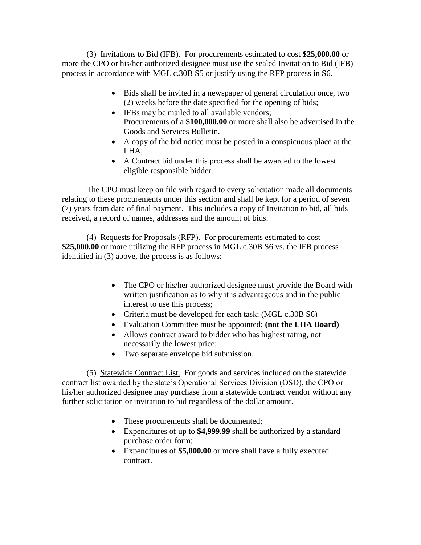(3) Invitations to Bid (IFB). For procurements estimated to cost **\$25,000.00** or more the CPO or his/her authorized designee must use the sealed Invitation to Bid (IFB) process in accordance with MGL c.30B S5 or justify using the RFP process in S6.

- Bids shall be invited in a newspaper of general circulation once, two (2) weeks before the date specified for the opening of bids;
- IFBs may be mailed to all available vendors; Procurements of a **\$100,000.00** or more shall also be advertised in the Goods and Services Bulletin.
- A copy of the bid notice must be posted in a conspicuous place at the LHA;
- A Contract bid under this process shall be awarded to the lowest eligible responsible bidder.

The CPO must keep on file with regard to every solicitation made all documents relating to these procurements under this section and shall be kept for a period of seven (7) years from date of final payment. This includes a copy of Invitation to bid, all bids received, a record of names, addresses and the amount of bids.

(4) Requests for Proposals (RFP). For procurements estimated to cost **\$25,000.00** or more utilizing the RFP process in MGL c.30B S6 vs. the IFB process identified in (3) above, the process is as follows:

- The CPO or his/her authorized designee must provide the Board with written justification as to why it is advantageous and in the public interest to use this process;
- Criteria must be developed for each task; (MGL c.30B S6)
- Evaluation Committee must be appointed; **(not the LHA Board)**
- Allows contract award to bidder who has highest rating, not necessarily the lowest price;
- Two separate envelope bid submission.

(5) Statewide Contract List. For goods and services included on the statewide contract list awarded by the state's Operational Services Division (OSD), the CPO or his/her authorized designee may purchase from a statewide contract vendor without any further solicitation or invitation to bid regardless of the dollar amount.

- These procurements shall be documented;
- Expenditures of up to **\$4,999.99** shall be authorized by a standard purchase order form;
- Expenditures of **\$5,000.00** or more shall have a fully executed contract.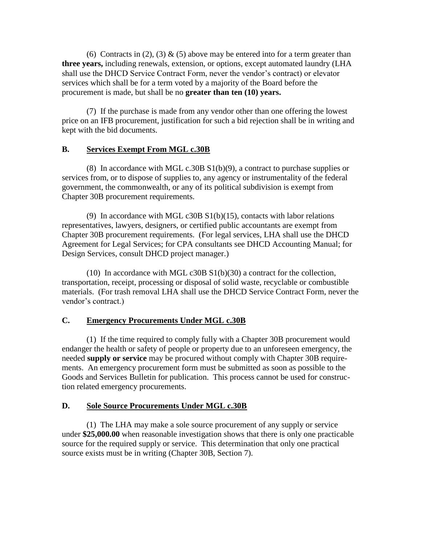(6) Contracts in (2), (3)  $\&$  (5) above may be entered into for a term greater than **three years,** including renewals, extension, or options, except automated laundry (LHA shall use the DHCD Service Contract Form, never the vendor's contract) or elevator services which shall be for a term voted by a majority of the Board before the procurement is made, but shall be no **greater than ten (10) years.**

(7) If the purchase is made from any vendor other than one offering the lowest price on an IFB procurement, justification for such a bid rejection shall be in writing and kept with the bid documents.

### **B. Services Exempt From MGL c.30B**

(8) In accordance with MGL c.30B  $S1(b)(9)$ , a contract to purchase supplies or services from, or to dispose of supplies to, any agency or instrumentality of the federal government, the commonwealth, or any of its political subdivision is exempt from Chapter 30B procurement requirements.

(9) In accordance with MGL c30B S1(b)(15), contacts with labor relations representatives, lawyers, designers, or certified public accountants are exempt from Chapter 30B procurement requirements. (For legal services, LHA shall use the DHCD Agreement for Legal Services; for CPA consultants see DHCD Accounting Manual; for Design Services, consult DHCD project manager.)

(10) In accordance with MGL c30B  $S1(b)(30)$  a contract for the collection, transportation, receipt, processing or disposal of solid waste, recyclable or combustible materials. (For trash removal LHA shall use the DHCD Service Contract Form, never the vendor's contract.)

# **C. Emergency Procurements Under MGL c.30B**

(1) If the time required to comply fully with a Chapter 30B procurement would endanger the health or safety of people or property due to an unforeseen emergency, the needed **supply or service** may be procured without comply with Chapter 30B requirements. An emergency procurement form must be submitted as soon as possible to the Goods and Services Bulletin for publication. This process cannot be used for construction related emergency procurements.

### **D. Sole Source Procurements Under MGL c.30B**

(1) The LHA may make a sole source procurement of any supply or service under **\$25,000.00** when reasonable investigation shows that there is only one practicable source for the required supply or service. This determination that only one practical source exists must be in writing (Chapter 30B, Section 7).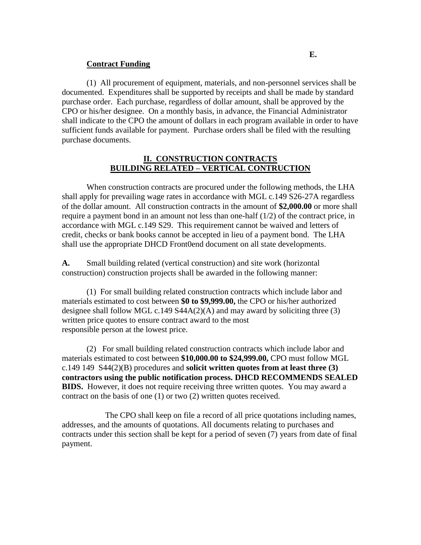#### **Contract Funding**

(1) All procurement of equipment, materials, and non-personnel services shall be documented. Expenditures shall be supported by receipts and shall be made by standard purchase order. Each purchase, regardless of dollar amount, shall be approved by the CPO or his/her designee. On a monthly basis, in advance, the Financial Administrator shall indicate to the CPO the amount of dollars in each program available in order to have sufficient funds available for payment. Purchase orders shall be filed with the resulting purchase documents.

#### **II. CONSTRUCTION CONTRACTS BUILDING RELATED – VERTICAL CONTRUCTION**

When construction contracts are procured under the following methods, the LHA shall apply for prevailing wage rates in accordance with MGL c.149 S26-27A regardless of the dollar amount. All construction contracts in the amount of **\$2,000.00** or more shall require a payment bond in an amount not less than one-half (1/2) of the contract price, in accordance with MGL c.149 S29. This requirement cannot be waived and letters of credit, checks or bank books cannot be accepted in lieu of a payment bond. The LHA shall use the appropriate DHCD Front0end document on all state developments.

**A.** Small building related (vertical construction) and site work (horizontal construction) construction projects shall be awarded in the following manner:

(1) For small building related construction contracts which include labor and materials estimated to cost between **\$0 to \$9,999.00,** the CPO or his/her authorized designee shall follow MGL c.149  $S44A(2)(A)$  and may award by soliciting three (3) written price quotes to ensure contract award to the most responsible person at the lowest price.

(2) For small building related construction contracts which include labor and materials estimated to cost between **\$10,000.00 to \$24,999.00,** CPO must follow MGL c.149 149 S44(2)(B) procedures and **solicit written quotes from at least three (3) contractors using the public notification process. DHCD RECOMMENDS SEALED BIDS.** However, it does not require receiving three written quotes. You may award a contract on the basis of one (1) or two (2) written quotes received.

 The CPO shall keep on file a record of all price quotations including names, addresses, and the amounts of quotations. All documents relating to purchases and contracts under this section shall be kept for a period of seven (7) years from date of final payment.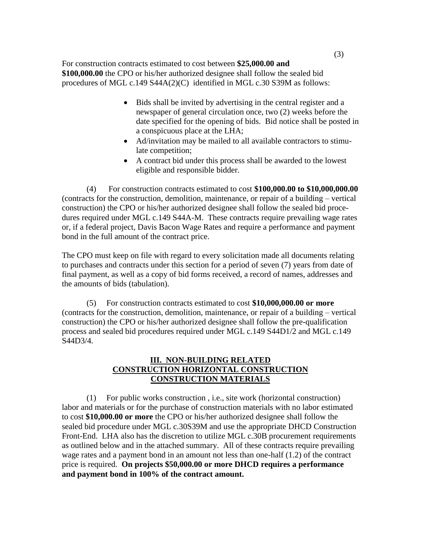For construction contracts estimated to cost between **\$25,000.00 and \$100,000.00** the CPO or his/her authorized designee shall follow the sealed bid procedures of MGL c.149 S44A(2)(C) identified in MGL c.30 S39M as follows:

- Bids shall be invited by advertising in the central register and a newspaper of general circulation once, two (2) weeks before the date specified for the opening of bids. Bid notice shall be posted in a conspicuous place at the LHA;
- Ad/invitation may be mailed to all available contractors to stimulate competition;
- A contract bid under this process shall be awarded to the lowest eligible and responsible bidder.

(4) For construction contracts estimated to cost **\$100,000.00 to \$10,000,000.00** (contracts for the construction, demolition, maintenance, or repair of a building – vertical construction) the CPO or his/her authorized designee shall follow the sealed bid procedures required under MGL c.149 S44A-M. These contracts require prevailing wage rates or, if a federal project, Davis Bacon Wage Rates and require a performance and payment bond in the full amount of the contract price.

The CPO must keep on file with regard to every solicitation made all documents relating to purchases and contracts under this section for a period of seven (7) years from date of final payment, as well as a copy of bid forms received, a record of names, addresses and the amounts of bids (tabulation).

(5) For construction contracts estimated to cost **\$10,000,000.00 or more** (contracts for the construction, demolition, maintenance, or repair of a building – vertical construction) the CPO or his/her authorized designee shall follow the pre-qualification process and sealed bid procedures required under MGL c.149 S44D1/2 and MGL c.149 S44D3/4.

## **III. NON-BUILDING RELATED CONSTRUCTION HORIZONTAL CONSTRUCTION CONSTRUCTION MATERIALS**

(1) For public works construction , i.e., site work (horizontal construction) labor and materials or for the purchase of construction materials with no labor estimated to cost **\$10,000.00 or more** the CPO or his/her authorized designee shall follow the sealed bid procedure under MGL c.30S39M and use the appropriate DHCD Construction Front-End. LHA also has the discretion to utilize MGL c.30B procurement requirements as outlined below and in the attached summary. All of these contracts require prevailing wage rates and a payment bond in an amount not less than one-half (1.2) of the contract price is required. **On projects \$50,000.00 or more DHCD requires a performance and payment bond in 100% of the contract amount.**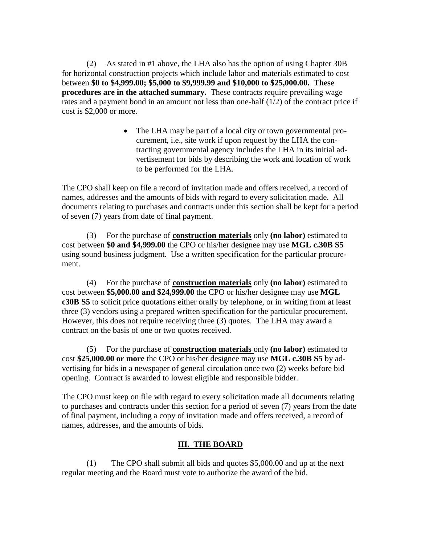(2) As stated in #1 above, the LHA also has the option of using Chapter 30B for horizontal construction projects which include labor and materials estimated to cost between **\$0 to \$4,999.00; \$5,000 to \$9,999.99 and \$10,000 to \$25,000.00. These procedures are in the attached summary.** These contracts require prevailing wage rates and a payment bond in an amount not less than one-half (1/2) of the contract price if cost is \$2,000 or more.

> • The LHA may be part of a local city or town governmental procurement, i.e., site work if upon request by the LHA the contracting governmental agency includes the LHA in its initial advertisement for bids by describing the work and location of work to be performed for the LHA.

The CPO shall keep on file a record of invitation made and offers received, a record of names, addresses and the amounts of bids with regard to every solicitation made. All documents relating to purchases and contracts under this section shall be kept for a period of seven (7) years from date of final payment.

(3) For the purchase of **construction materials** only **(no labor)** estimated to cost between **\$0 and \$4,999.00** the CPO or his/her designee may use **MGL c.30B S5** using sound business judgment. Use a written specification for the particular procurement.

(4) For the purchase of **construction materials** only **(no labor)** estimated to cost between **\$5,000.00 and \$24,999.00** the CPO or his/her designee may use **MGL c30B S5** to solicit price quotations either orally by telephone, or in writing from at least three (3) vendors using a prepared written specification for the particular procurement. However, this does not require receiving three (3) quotes. The LHA may award a contract on the basis of one or two quotes received.

(5) For the purchase of **construction materials** only **(no labor)** estimated to cost **\$25,000.00 or more** the CPO or his/her designee may use **MGL c.30B S5** by advertising for bids in a newspaper of general circulation once two (2) weeks before bid opening. Contract is awarded to lowest eligible and responsible bidder.

The CPO must keep on file with regard to every solicitation made all documents relating to purchases and contracts under this section for a period of seven (7) years from the date of final payment, including a copy of invitation made and offers received, a record of names, addresses, and the amounts of bids.

### **III. THE BOARD**

(1) The CPO shall submit all bids and quotes \$5,000.00 and up at the next regular meeting and the Board must vote to authorize the award of the bid.